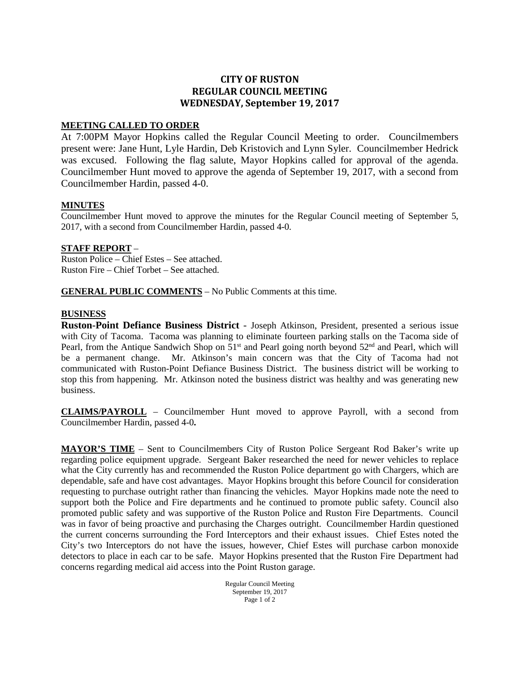# **CITY OF RUSTON REGULAR COUNCIL MEETING WEDNESDAY, September 19, 2017**

#### **MEETING CALLED TO ORDER**

At 7:00PM Mayor Hopkins called the Regular Council Meeting to order. Councilmembers present were: Jane Hunt, Lyle Hardin, Deb Kristovich and Lynn Syler. Councilmember Hedrick was excused. Following the flag salute, Mayor Hopkins called for approval of the agenda. Councilmember Hunt moved to approve the agenda of September 19, 2017, with a second from Councilmember Hardin, passed 4-0.

#### **MINUTES**

Councilmember Hunt moved to approve the minutes for the Regular Council meeting of September 5, 2017, with a second from Councilmember Hardin, passed 4-0.

#### **STAFF REPORT** –

Ruston Police – Chief Estes – See attached. Ruston Fire – Chief Torbet – See attached.

#### **GENERAL PUBLIC COMMENTS** – No Public Comments at this time.

#### **BUSINESS**

**Ruston-Point Defiance Business District** - Joseph Atkinson, President, presented a serious issue with City of Tacoma. Tacoma was planning to eliminate fourteen parking stalls on the Tacoma side of Pearl, from the Antique Sandwich Shop on  $51<sup>st</sup>$  and Pearl going north beyond  $52<sup>nd</sup>$  and Pearl, which will be a permanent change. Mr. Atkinson's main concern was that the City of Tacoma had not communicated with Ruston-Point Defiance Business District. The business district will be working to stop this from happening. Mr. Atkinson noted the business district was healthy and was generating new business.

**CLAIMS/PAYROLL** – Councilmember Hunt moved to approve Payroll, with a second from Councilmember Hardin, passed 4-0**.**

**MAYOR'S TIME** – Sent to Councilmembers City of Ruston Police Sergeant Rod Baker's write up regarding police equipment upgrade. Sergeant Baker researched the need for newer vehicles to replace what the City currently has and recommended the Ruston Police department go with Chargers, which are dependable, safe and have cost advantages. Mayor Hopkins brought this before Council for consideration requesting to purchase outright rather than financing the vehicles. Mayor Hopkins made note the need to support both the Police and Fire departments and he continued to promote public safety. Council also promoted public safety and was supportive of the Ruston Police and Ruston Fire Departments. Council was in favor of being proactive and purchasing the Charges outright. Councilmember Hardin questioned the current concerns surrounding the Ford Interceptors and their exhaust issues. Chief Estes noted the City's two Interceptors do not have the issues, however, Chief Estes will purchase carbon monoxide detectors to place in each car to be safe. Mayor Hopkins presented that the Ruston Fire Department had concerns regarding medical aid access into the Point Ruston garage.

> Regular Council Meeting September 19, 2017 Page 1 of 2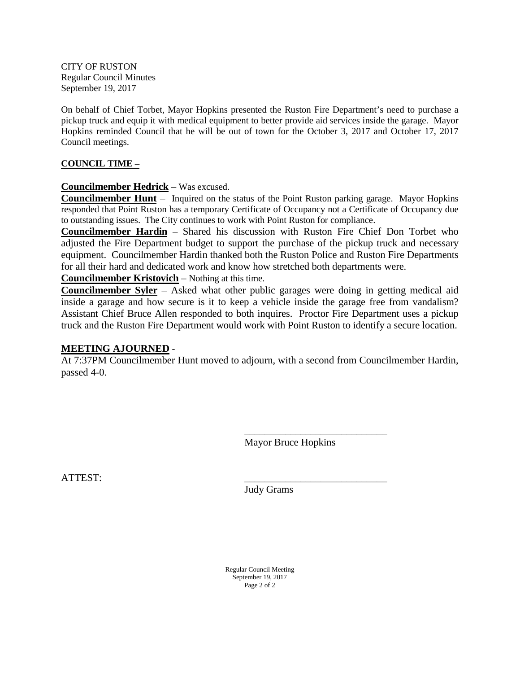CITY OF RUSTON Regular Council Minutes September 19, 2017

On behalf of Chief Torbet, Mayor Hopkins presented the Ruston Fire Department's need to purchase a pickup truck and equip it with medical equipment to better provide aid services inside the garage. Mayor Hopkins reminded Council that he will be out of town for the October 3, 2017 and October 17, 2017 Council meetings.

## **COUNCIL TIME –**

## **Councilmember Hedrick** – Was excused.

**Councilmember Hunt** – Inquired on the status of the Point Ruston parking garage. Mayor Hopkins responded that Point Ruston has a temporary Certificate of Occupancy not a Certificate of Occupancy due to outstanding issues. The City continues to work with Point Ruston for compliance.

**Councilmember Hardin** – Shared his discussion with Ruston Fire Chief Don Torbet who adjusted the Fire Department budget to support the purchase of the pickup truck and necessary equipment. Councilmember Hardin thanked both the Ruston Police and Ruston Fire Departments for all their hard and dedicated work and know how stretched both departments were.

**Councilmember Kristovich** – Nothing at this time.

**Councilmember Syler** – Asked what other public garages were doing in getting medical aid inside a garage and how secure is it to keep a vehicle inside the garage free from vandalism? Assistant Chief Bruce Allen responded to both inquires. Proctor Fire Department uses a pickup truck and the Ruston Fire Department would work with Point Ruston to identify a secure location.

## **MEETING AJOURNED** -

At 7:37PM Councilmember Hunt moved to adjourn, with a second from Councilmember Hardin, passed 4-0.

Mayor Bruce Hopkins

\_\_\_\_\_\_\_\_\_\_\_\_\_\_\_\_\_\_\_\_\_\_\_\_\_\_\_\_

ATTEST: \_\_\_\_\_\_\_\_\_\_\_\_\_\_\_\_\_\_\_\_\_\_\_\_\_\_\_\_

Judy Grams

Regular Council Meeting September 19, 2017 Page 2 of 2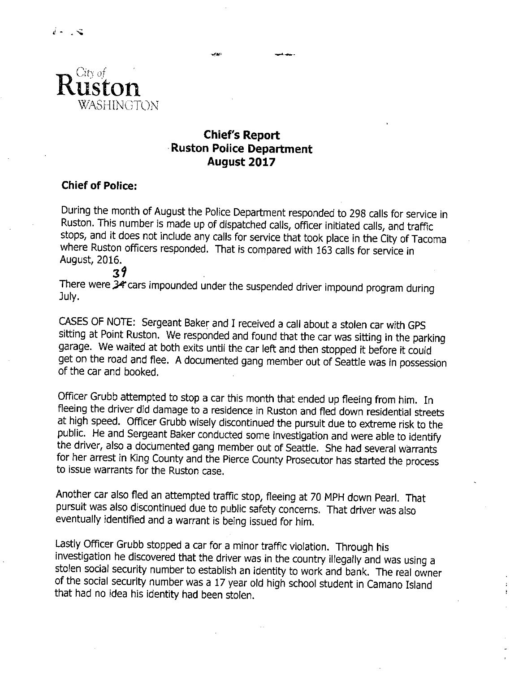

# **Chief's Report Ruston Police Department** August 2017

# **Chief of Police:**

During the month of August the Police Department responded to 298 calls for service in Ruston. This number is made up of dispatched calls, officer initiated calls, and traffic stops, and it does not include any calls for service that took place in the City of Tacoma where Ruston officers responded. That is compared with 163 calls for service in August, 2016.  $39$ 

There were 34 cars impounded under the suspended driver impound program during July.

CASES OF NOTE: Sergeant Baker and I received a call about a stolen car with GPS sitting at Point Ruston. We responded and found that the car was sitting in the parking garage. We waited at both exits until the car left and then stopped it before it could get on the road and flee. A documented gang member out of Seattle was in possession of the car and booked.

Officer Grubb attempted to stop a car this month that ended up fleeing from him. In fleeing the driver did damage to a residence in Ruston and fled down residential streets at high speed. Officer Grubb wisely discontinued the pursuit due to extreme risk to the public. He and Sergeant Baker conducted some investigation and were able to identify the driver, also a documented gang member out of Seattle. She had several warrants for her arrest in King County and the Pierce County Prosecutor has started the process to issue warrants for the Ruston case.

Another car also fled an attempted traffic stop, fleeing at 70 MPH down Pearl. That pursuit was also discontinued due to public safety concerns. That driver was also eventually identified and a warrant is being issued for him.

Lastly Officer Grubb stopped a car for a minor traffic violation. Through his investigation he discovered that the driver was in the country illegally and was using a stolen social security number to establish an identity to work and bank. The real owner of the social security number was a 17 year old high school student in Camano Island that had no idea his identity had been stolen.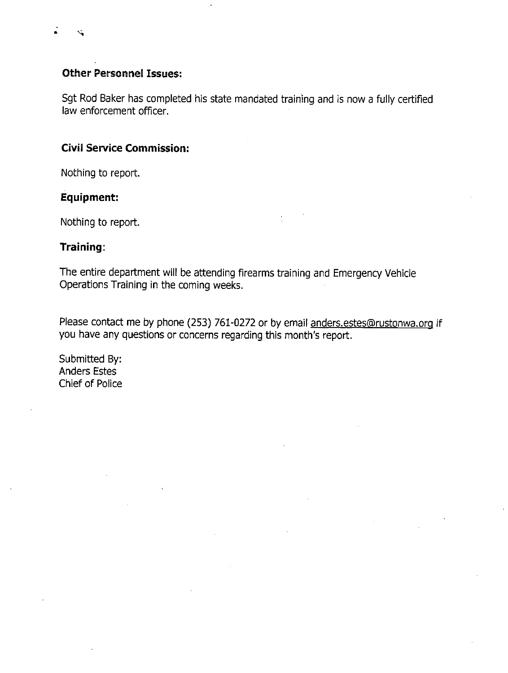# **Other Personnel Issues:**

Sgt Rod Baker has completed his state mandated training and is now a fully certified law enforcement officer.

# **Civil Service Commission:**

Nothing to report.

# **Equipment:**

Nothing to report.

# Training:

The entire department will be attending firearms training and Emergency Vehicle Operations Training in the coming weeks.

Please contact me by phone (253) 761-0272 or by email anders.estes@rustonwa.org if you have any questions or concerns regarding this month's report.

Submitted By: **Anders Estes** Chief of Police